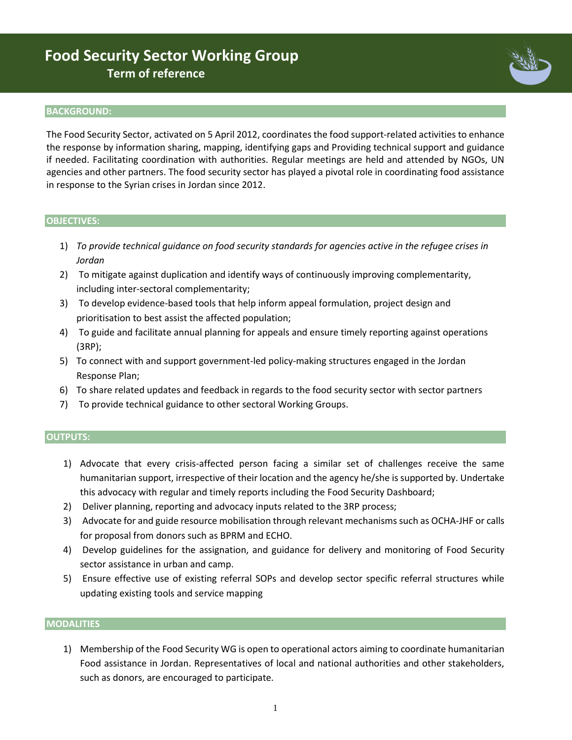# **Food Security Sector Working Group Term of reference**

#### **BACKGROUND:**

The Food Security Sector, activated on 5 April 2012, coordinates the food support-related activities to enhance the response by information sharing, mapping, identifying gaps and Providing technical support and guidance if needed. Facilitating coordination with authorities. Regular meetings are held and attended by NGOs, UN agencies and other partners. The food security sector has played a pivotal role in coordinating food assistance in response to the Syrian crises in Jordan since 2012.

#### **OBJECTIVES:**

- 1) *To provide technical guidance on food security standards for agencies active in the refugee crises in Jordan*
- 2) To mitigate against duplication and identify ways of continuously improving complementarity, including inter-sectoral complementarity;
- 3) To develop evidence-based tools that help inform appeal formulation, project design and prioritisation to best assist the affected population;
- 4) To guide and facilitate annual planning for appeals and ensure timely reporting against operations (3RP);
- 5) To connect with and support government-led policy-making structures engaged in the Jordan Response Plan;
- 6) To share related updates and feedback in regards to the food security sector with sector partners
- 7) To provide technical guidance to other sectoral Working Groups.

#### **OUTPUTS:**

- 1) Advocate that every crisis-affected person facing a similar set of challenges receive the same humanitarian support, irrespective of their location and the agency he/she is supported by. Undertake this advocacy with regular and timely reports including the Food Security Dashboard;
- 2) Deliver planning, reporting and advocacy inputs related to the 3RP process;
- 3) Advocate for and guide resource mobilisation through relevant mechanisms such as OCHA-JHF or calls for proposal from donors such as BPRM and ECHO.
- 4) Develop guidelines for the assignation, and guidance for delivery and monitoring of Food Security sector assistance in urban and camp.
- 5) Ensure effective use of existing referral SOPs and develop sector specific referral structures while updating existing tools and service mapping

#### **MODALITIES**

1) Membership of the Food Security WG is open to operational actors aiming to coordinate humanitarian Food assistance in Jordan. Representatives of local and national authorities and other stakeholders, such as donors, are encouraged to participate.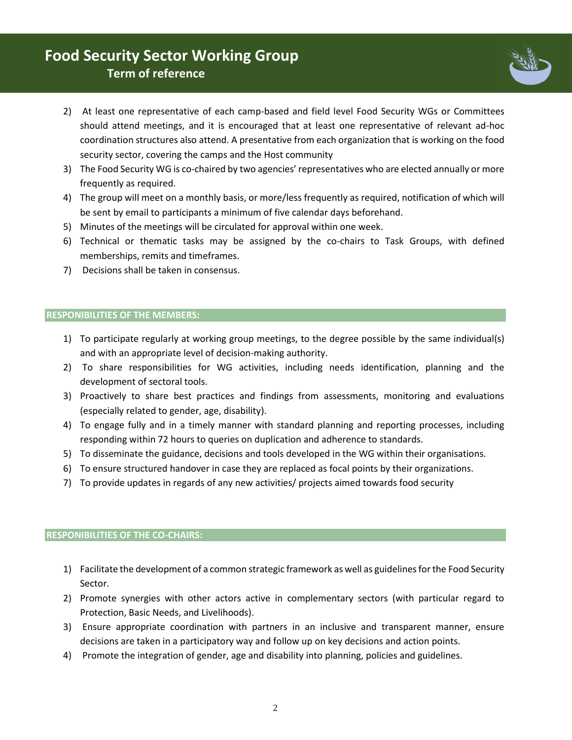## **Food Security Sector Working Group Term of reference**



- 2) At least one representative of each camp-based and field level Food Security WGs or Committees should attend meetings, and it is encouraged that at least one representative of relevant ad-hoc coordination structures also attend. A presentative from each organization that is working on the food security sector, covering the camps and the Host community
- 3) The Food Security WG is co-chaired by two agencies' representatives who are elected annually or more frequently as required.
- 4) The group will meet on a monthly basis, or more/less frequently as required, notification of which will be sent by email to participants a minimum of five calendar days beforehand.
- 5) Minutes of the meetings will be circulated for approval within one week.
- 6) Technical or thematic tasks may be assigned by the co-chairs to Task Groups, with defined memberships, remits and timeframes.
- 7) Decisions shall be taken in consensus.

### **RESPONIBILITIES OF THE MEMBERS:**

- 1) To participate regularly at working group meetings, to the degree possible by the same individual(s) and with an appropriate level of decision-making authority.
- 2) To share responsibilities for WG activities, including needs identification, planning and the development of sectoral tools.
- 3) Proactively to share best practices and findings from assessments, monitoring and evaluations (especially related to gender, age, disability).
- 4) To engage fully and in a timely manner with standard planning and reporting processes, including responding within 72 hours to queries on duplication and adherence to standards.
- 5) To disseminate the guidance, decisions and tools developed in the WG within their organisations.
- 6) To ensure structured handover in case they are replaced as focal points by their organizations.
- 7) To provide updates in regards of any new activities/ projects aimed towards food security

### **RESPONIBILITIES OF THE CO-CHAIRS:**

- 1) Facilitate the development of a common strategic framework as well as guidelines for the Food Security Sector.
- 2) Promote synergies with other actors active in complementary sectors (with particular regard to Protection, Basic Needs, and Livelihoods).
- 3) Ensure appropriate coordination with partners in an inclusive and transparent manner, ensure decisions are taken in a participatory way and follow up on key decisions and action points.
- 4) Promote the integration of gender, age and disability into planning, policies and guidelines.